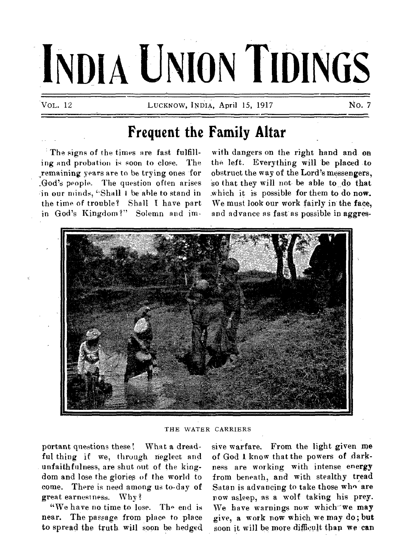# **INDIA UNION TIDINGS**

VOL. 12 **LUCKNOW, INDIA, April 15, 1917** No. 7

## **Frequent the Family Altar**

The signs of the times are fast fulfilling and probation is soon to close. The remaining years are to be trying ones for .God's people. The question often arises in our minds, "Shall I be'able to stand in the time of trouble? Shall I have part in God's Kingdom ?" Solemn and im-

with dangers on the right hand and on the left. Everything will be placed to obstruct the way of the Lord's messengers, so that they will not be able to do that which it is possible for them to do now. We must look our work fairly in the face, and advance as fast as possible in aggres-



THE WATER CARRIERS

portant questions these! What a dreadful thing if we, through neglect and unfaithfulness, are shut out of the kingdom and lose the glories of the world to come. There is need among us to-day of great earnestness. Why ?

"We have no time to lose. The end is near. The passage from place to place to spread the truth. will soon be hedged sive warfare. From the light given me of God I know that the powers of darkness are working with intense energy from beneath, and with stealthy tread Satan is advancing to take those who are now asleep, as a wolf taking his prey. We have warnings now which-we may give, a work now which, we may do; but soon it will be more difficult than we can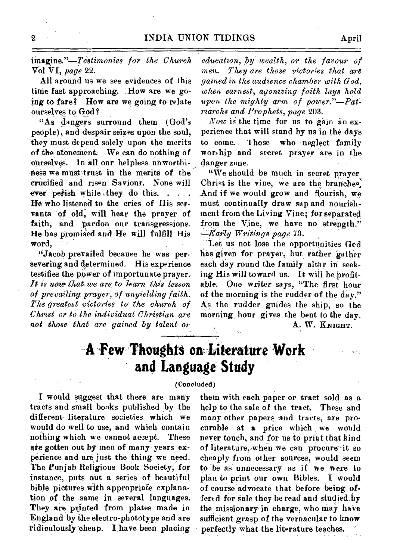*iinagjne."--TeStimonies for the Church*  Vol VI, *page* 22.

All around us we see evidences of this time fast approaching. How are we going to fare? How are we going to relate ourselves to God ?

"As dangers surround them (God's people), and despair seizes upon the soul, they must depend solely upon the merits of the atonement. We can do nothing of ourselves. In all our helpless unworthi**lieS** we mist trust in the merits of the crucified and risen Saviour. None will ever perish while they do this. . . . He who listened to the cries of His servants of old, will hear the prayer of faith, and pardon our transgressions. He has promised and He will fulfill His word,

"Jacob prevailed because he was persevering and determined. His experience testifies the power of importunate prayer. *It is nalo that, we are to learn, this lesson of prevailing prayer, of unyielding faith. The greatest victories to the church of Christ or to the individual Christian are not those that are gained by talent or* 

*education, by wealth, or the favour of men. They are those victories that art gained in the audience chamber with God, when earnest, agonizing faith lays hold upon the mighty arm of power."—Patriarchs and Prophets, page* 203.

*Now* is the time for us to gain an experience that will stand by us in the days to, come. 1 hose who neglect family worship and secret prayer are in the danger zone.

"We should be much in secret prayer Christ is the vine, we are the branches. And if we would grow and flourish, we must continually draw sap and nourishment from the Living Vine; for separated from the Vine, we have no strength." *-Early Writings page* 73.

Let us not lose the opportunities God has given for prayer, but rather gather each day round the family altar in seeking His will toward us. It will be profitable. One writer says, "The first hour of the morning is the rudder of the day." As the rudder guides the ship, so the morning hour gives the bent to the day. A. W. KNIGHT.

## **A Few Thoughts on Literature Work and Language Study**

#### **(Concluded)**

I would suggest that there are many tracts and small books published by the different literature societies which we would do well to use, and which contain nothing which we cannot accept. These ate gotten out by men of many years experience and are just the thing we need. The Punjab Religious Book Society, for instance, puts out a series of beautiful bible pictures with appropriate explanation of the same in several languages. They are printed from plates made in England by the electro-phototype and are ridiculously cheap. I have been placing

them with each paper or tract sold as a help to the sale of the tract. These and many other papers and tracts, are procurable at a price which we would never touch, and for us to print that kind of literature,-when we can procure it so cheaply from other sources, would seem to be as unnecessary as if we were to plan to print our own Bibles. I would of course advocate that before being, offered for sale they be read and studied by the missionary in charge, who may have sufficient grasp of the vernacular to know perfectly what the literature teaches.

á.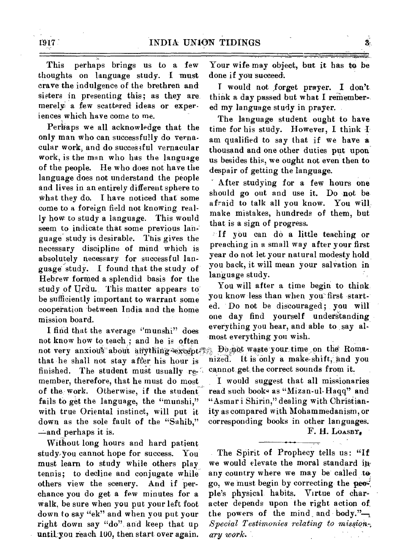This perhaps brings us to a few thoughts on language study. I must crave the indulgence of the brethren and sisters in presenting this; as they are. merely; a few scattered ideas or experiences which have come to me.

Perhaps we all acknowledge that the only man who can successfully do vernacular work, and do successful vernacular work, is the man who has the language of the people. He who does not have the language does not understand the people and lives in an entirely different sphere to What they do. I have noticed that some come to a foreign field not knowing really how to study a language. This would seem to indicate that some previous language study is desirable. This gives the necessary discipline of mind which is absolutely necessary for successful language study. I found that the study of Hebrew formed a splendid basis for the study of Urdu. This matter appears to be sufficiently important to warrant some cooperation between India and the home mission board.

I find that the average "munshi" does that he shall not stay after his hour is finished. The student must usually remember, therefore, that he must do most of the work. Otherwise, if the student fails to get the language, the "munshi," with true Oriental instinct, will put it down as the sole fault of the "Sahib," —and perhaps it is. not know how to teach; and he is often most everything you wish. not very anxious about anything except Bo pot waste your time on the Roma-

Without long hours and hard patient study-you cannot hope for success. You must learn to study while others play tennis; to decline and conjugate while others view the scenery. And if perchance you do get a few minutes for a walk. besure when you put your left foot down to say "ek" and when you put your right down say "do" and keep that up untiLyou reach 100, then start over again.

Your wife may object, but it has to be done if you succeed.

I would not forget prayer. I don't think a day passed but what I remember-. ed my language study in prayer.

The language student ought to have time for his study. However, I think  $\Phi$ am qualified to say that if we have a thousand and one other duties put upon us besides this, we ought not even then to despair of getting the language.

After studying for a few hours one should go out and use it. Do not be afraid to talk all you know. You will make mistakes, hundreds of them, but that is a sign of progress.

If you can do a little teaching or preaching in a small way after your first year do not let your natural modesty hold you back, it will mean your salvation in language study.

You will after a time begin to think, you know less than when you first started. Do not be discouraged; you will one day find yourself understanding everything you hear, and able to say al-

nized. It is only a make-shift, and you cannot, get the correct sounds from it.

I would suggest that all missionaries read such books as "Mizan-ul-Haqq" and "Asmar i Shirin," dealing with Christianity as compared with Mohammedanism, or corresponding books in other languages. F. H. LOASBY,

The Spirit of Prophecy tells us: "If we would elevate the moral standard in any country where we may be called to go, we must begin by correcting the people's physical habits. Virtue of character depends upon the right action of the powers of the mind and body." $-$ , *Special Testimonies relating to mission,; ary work.* 

 $3<sup>°</sup>$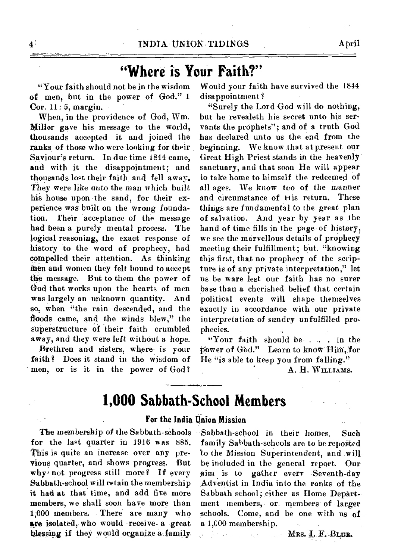# **"Where is Your Faith?"**

"Your faith should not be in the wisdom of men, but in the power of God." 1 Cor. 11: 5, margin.

When, in the providence of God, Wm. Miller gave his message to the world, thousands accepted it and joined the ranks of those who were looking for their Saviour's return. In due time 1844 came, and with it the disappointment; and thousands lost their faith, and fell away. They were like unto the man which built his house upon the sand, for their experience was built on the wrong foundation. Their acceptance of the message had been a purely mental process. The logical reasoning, the exact response of history to the word of prophecy, had compelled their attention. As thinking then and women they felt bound to accept the message. But to them the power of God that works upon the hearts of men was largely an unknown quantity. And so, when "the rain descended, and the floods came, and the winds blew," the superstructure of their faith crumbled away, and they were left without a hope.

Brethren and sisters, where is your faith? Does it stand in the wisdom of men, or is it in the power of God? Would your faith have survived the **1844**  disappointment ?

"Surely the Lord God will do nothing, but he revealeth his secret unto his servants the prophets"; and of a truth God has declared unto us the end from the beginning. We know that, at present our Great, High Priest stands in the heavenly sanctuary, and that soon He will appear to take home to himself the redeemed of all ages. We know too of the manner and circumstance of His return. These things are fundamenfal to the great plan of salvation. And year by year as the hand of time fills in the page of history, we see the marvellous details of prophecy meeting their fulfillment; but. "knowing this first, that no prophecy of the scripture is of any private interpretation," let us be ware lest our faith has no surer base than a cherished belief that certain political events will shape themselves exactly in accordance with our private interpretation of sundry unfulfilled prophecies.

"Your faith should **be . .** in the (fower of God." Learn to know Him, for He "is able to keep you from falling."

A. **H. WILLIAMS.** 

#### **1,000 Sabbath-School Members**

#### **For the India Union Mission**

The membership of the Sabbath-schools for the last quarter in **1916** was 885. This is quite an increase over any previous quarter, and shows progress. 'But why not progress still more? If every Sabbath-school will retain the membership it had at that time, and add five more members, we shall soon have more than 1;000 members. There are many who **are isolated,** who would receive- a great blessing if they would organize a family

Sabbath-school in their homes. Such family Sabbath-schools are to be reported to the Mission Superintendent, and will be included in the general report. Our aim is to gather every Seventh-day Adventist in India into the ranks of the Sabbath school; either as Home Department members, or members of larger schools. Come, and be one with us of a 1,000 membership.

MRS. I, E., BLUE.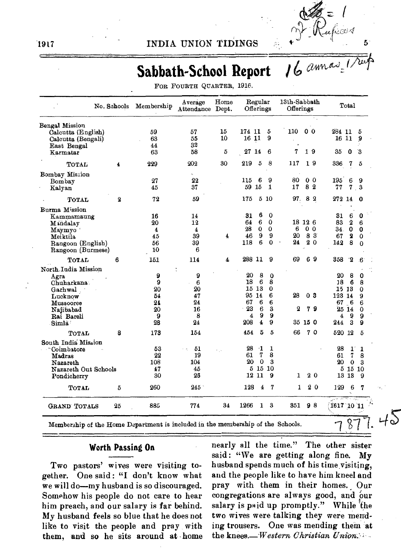

# **Sabbath-School Report**

| FOR FOURTH QUARTER, 1916. |  |  |
|---------------------------|--|--|
|---------------------------|--|--|

|                      | No. Schools | Membership | Average<br>Attendance Dept. | Home | Regular<br>Offerings                | 13th-Sabbath<br>Offerings | Total                                     |
|----------------------|-------------|------------|-----------------------------|------|-------------------------------------|---------------------------|-------------------------------------------|
| Bengal Mission       |             |            |                             |      |                                     |                           |                                           |
| Calcutta (English)   |             | 59         | 57                          | 15   | 174 11<br>5                         | 0 <sub>0</sub><br>110     | 284 11<br>5                               |
| Calcutta (Bengali)   |             | 63         | 55                          | 10   | 9<br>16 11                          |                           | 16 11<br>9                                |
| East Bengal          |             | 44         | 32<br>58                    | 5    | 27 14<br>6                          | 7<br>19                   | 35<br>3<br>0                              |
| Karmatar             |             | 63         |                             |      |                                     |                           |                                           |
| TOTAL                | 4           | 229        | 202                         | 30   | 219<br>5<br>8                       | 19<br>117                 | 336<br>7<br>5                             |
| Bombay Mission       |             |            | $\sim$                      |      |                                     |                           |                                           |
| Bombay               |             | 27         | 22                          |      | 6<br>9<br>115                       | 80<br>0 O                 | 195<br>6<br>9                             |
| Kalyan               |             | 45         | 37                          |      | 59 15<br>1                          | 82<br>17                  | 77<br>7<br>3                              |
| TOTAL                | $\bf{2}$    | 72         | 59                          |      | 5 10<br>175                         | 97.<br>82                 | 272 14<br>- 0                             |
| Burma Mission        |             |            |                             |      |                                     |                           |                                           |
| Kammamaung           |             | 16         | 14                          |      | 6<br>0<br>31                        |                           | $6\phantom{1}6$<br>31<br>0                |
| Mindalay             |             | 20         | 12                          |      | 6<br>0<br>64                        | 18 12 6                   | 83<br>$\boldsymbol{2}$<br>6               |
| Maymyo '             |             | 4          | $\overline{\mathbf{4}}$     |      | 28<br>$\bf{0}$<br>0                 | 6<br>0 <sub>0</sub>       | $\mathbf 0$<br>34.<br>0                   |
| Meiktila             |             | 45         | 39                          | 4    | 9<br>g<br>46                        | 83<br>20                  | 67<br>$\boldsymbol{2}$<br>0               |
| Rangoon (English)    |             | 56         | 39                          |      | 6<br>118<br>0                       | $^{24}$<br>20             | 8<br>142<br>$\Omega$                      |
| Rangoon (Burmese)    |             | 10         | 6                           |      |                                     |                           |                                           |
| TOTAL                | 6           | 151        | 114                         | 4    | 288 11<br>9                         | 69<br>69                  | 358<br>$\mathbf{P}$<br>6                  |
| North India Mission  |             |            | $\ddot{\cdot}$              |      |                                     |                           |                                           |
| Agra                 |             | 9          | 9                           |      | 20<br>8<br>$\bf{0}$                 |                           | 8<br>20<br>0                              |
| Chuharkana           |             | 9          | 6                           |      | 18<br>6<br>8                        |                           | 6<br>18<br>8                              |
| Garhwal              |             | 20         | 20                          |      | 15 13<br>$\bf{0}$                   |                           | 15 13<br>0                                |
| Lucknow              |             | 54         | 47                          |      | 6<br>95 14                          | 28<br>03                  | 123 14<br>9                               |
| Mussooree            |             | 24         | 24                          |      | 67<br>6<br>6                        |                           | 67 6<br>6                                 |
| Najibabad            |             | 20         | 16                          |      | 23<br>6<br>З                        | 2<br>79                   | 25 14<br>0                                |
| Rai Bareli           |             | 9          | 8                           |      | 9<br>9<br>4                         |                           | 9<br>9<br>4                               |
| Simla <sup>:</sup>   |             | 28         | 24                          |      | 208<br>$\overline{\mathbf{4}}$<br>9 | 35 15 0                   | $\overline{\mathbf{3}}$<br>244<br>9       |
| TOTAL                | 8           | 173        | 154                         |      | 5<br>5<br>454                       | 66<br>70                  | 520 12<br>5                               |
| South India Mission  |             |            |                             |      |                                     |                           |                                           |
| Coimbatore           |             | 53         | 51<br>яĄ.                   |      | 28<br>-1<br>1                       |                           | 28<br>$\mathbf{1}$<br>$\mathbf{1}$        |
| Madras               |             | 22         | 19                          |      | 7<br>8<br>61                        |                           | 7<br>61<br>8                              |
| Nazareth             |             | 108        | 104                         |      | 20<br>$\mathbf{a}$<br>- 0           |                           | 20<br>0<br>3                              |
| Nazareth Out Schools |             | 47         | 45                          |      | 5 15<br>10<br>9                     |                           | 5 15 10                                   |
| Pondicherry          |             | 30         | 26                          |      | 12 11                               | 20<br>1                   | 13 13<br>9                                |
| TOTAL                | 5           | 260        | $245^{\circ}$               |      | 128<br>4<br>7                       | 20<br>1                   | 129<br>6<br>7                             |
| <b>GRAND TOTALS</b>  | 25          | 885        | 774                         | 34   | 1266<br>1<br>3                      | 98<br>351                 | $\sim$ $\sim$ $\sim$ $\sim$<br>1617 10 11 |

#### **Worth Passing On**

Two pastors' wives were visiting together. One said : "I don't know what we will do—my husband is so discouraged. Somehow his people do not care to hear him preach, and our salary is far behind. My husband feels so blue that he does not like to visit the people and pray with them, and so he sits around at home nearly all the time." The other sister said: "We are getting along fine. My husband spends much of his time visiting, and the people like to have him kneel and pray with them in their homes. Our congregations are always good, and 'our salary is paid up promptly." While the two wives were talking they were mending trousers. One was mending them at the *knees.—Western* Christian Union: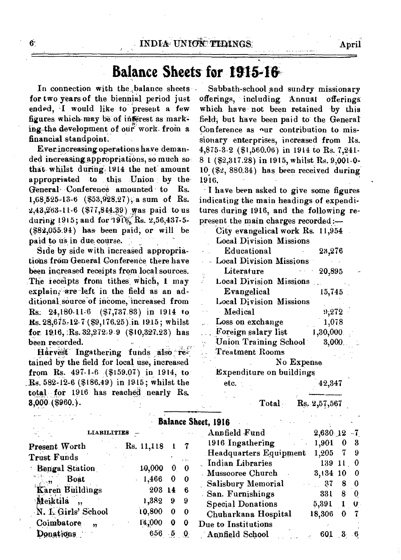### Ba**lance Sheets for 191546,**

In connection with the balance sheets - Sabbath-school and sundry missionary ended, I would like to present a few which have not been retained by this figures which may be of interest as mark- field, but have been paid to the General ing-the development of our work- from a Conference as our contribution to mis-

Everincreasing operations have deman-  $4,875-3.2$  (\$1,560.06) in 1914 to Rs. 7,241-ded increasing appropriations, so much so  $8.1$  (\$2.317.28) in 1915, whilst Rs. 9.001.0that whilst during 1914 the net amount 10  $(\$2, 880.34)$  has been received during appropriated to this Union by the 1916. appropriated to this Union by the General Conference amounted to Rs. I have been asked to give some figures  $1,68,525-13-6$  (\$53,928.27), a sum of Rs. indicating the main headings of expendi- $2,43,263-11-6$  (\$77,844.39) was paid to us tures during 1916, and the following reduring 1915; and for  $19V_5$ , Rs. 2,56,437-5- present the main charges recorded:  $(882,055.94)$  has been paid, or will be paid to us in-due course.

Side by side with increased appropriations from General Conference there have been increased receipts from local sources. The receipts from tithes which,  $1 \text{ may}$ explain; are left in the field as an additional source of income, increased from Rs:  $24,180.11.6$  (\$7,737.83) in 1914 to **Rs.** 28,675,12-7 (\$9,176.25) in 1915; whilst for 1916, Rs.  $32,272.9.9$  (\$10,327.23) has been recorded.

Harvest Ingathering funds also retained by the field for local use, increased from Rs.  $497.1-6$  (\$159.07) in 1914, to  $R_s$ . 582-12-6 (\$186.49) in 1915; whilst the total for 1916 has reached nearly Rs.  $3,000(9960.).$ 

for two years of the biennial period just offerings, including Annual offerings: field, but have been paid to the General financial standpoint. sionary enterprises, increased from Rs.<br>Everincreasing operations have deman- 4.875-3-2 (\$1.560.06) in 1914 to Rs. 7.241-8 1 (\$2,317.28) in 1915, whilst Rs. 9,001-0-

indicating the main headings of expendi-

| City evangelical work Rs. 11,954 |            |          |  |
|----------------------------------|------------|----------|--|
| <b>Local Division Missions</b>   |            |          |  |
| Educational                      |            | 23,276   |  |
| - Local Division Missions        |            |          |  |
| Literature                       |            | 20,895   |  |
| <b>Local Division Missions</b>   |            |          |  |
| Evangelical                      |            | 15,745   |  |
| <b>Local Division Missions</b>   |            |          |  |
| Medical                          |            | 9,272    |  |
| Loss on exchange                 |            | 1,078    |  |
| Foreign salary list              |            | 1,30,000 |  |
| <b>Union Training School</b>     |            | 3,000    |  |
| <b>Treatment Rooms</b>           |            |          |  |
|                                  | No Expense |          |  |
| Expenditure on buildings         |            |          |  |
|                                  |            |          |  |

etc. 42,347

Total Rs. 2,57,567

|                       |            |          |                   | Balance Sheet, 1916      |                  |              |      |
|-----------------------|------------|----------|-------------------|--------------------------|------------------|--------------|------|
| <b>LIABILITIES</b>    |            |          |                   | Annfield Fund            | 2,630 12         |              | $-7$ |
| Present Worth         | Rs. 11,118 |          |                   | 1916 Ingathering         | 1,901            | 0            | - 3  |
| <b>Trust Funds</b>    |            |          |                   | Headquarters Equipment   | 1,205            | 7            | - 9  |
| <b>Bengal Station</b> | 10,000     | ₩        | 4.111<br>$\bf{0}$ | Indian Libraries         | $139 \; 11 \; 0$ |              |      |
|                       |            |          |                   | <b>Mussooree Church</b>  | 3,134 10         |              | -0   |
| Boat                  | 1,466      | 0        | 0                 | Salisbury Memorial       | $\therefore$ 37  | 8            | 0    |
| Karen Buildings       | 203 14     |          | 6                 | San. Furnishings         | 331              | 8            | 0    |
| Meiktila<br>,,        | 1,382      | 9        | -9                | <b>Special Donations</b> | 5,391            | $\mathbf{1}$ | U.   |
| N. I. Girls' School   | 10,800     | $\bf{0}$ |                   | Chuharkana Hospital      | 18,306           | $\Omega$     |      |
| Coimbatore<br>99      | 14,000     | 0        |                   | Due to Institutions      |                  |              |      |
| Donations             | 656        |          |                   | Annfield School          | 601              |              |      |

6.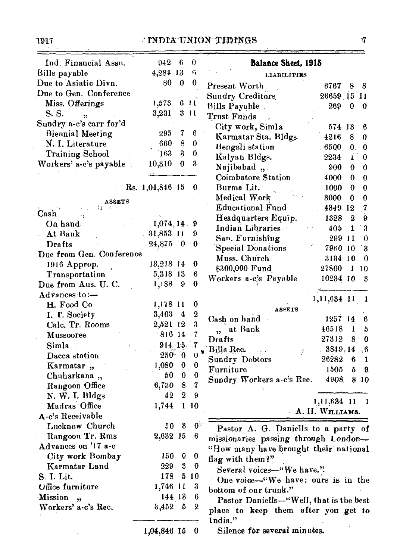#### 1917 INDIA-UNION TIPINGS

| Ind. Financial Assn.     | 942             | - 6                     | $\theta$                    | Balance Sheet, 1915                                                               |
|--------------------------|-----------------|-------------------------|-----------------------------|-----------------------------------------------------------------------------------|
| Bills payable            | 4,284 13        |                         | $\mathfrak{G}^{\mathbb{C}}$ | LIABILITIES                                                                       |
| Due to Asiatic Divn.     | 80              | $\bf{0}$                | $\bf{0}$                    | Present Worth<br>6767<br>88                                                       |
| Due to Gen. Conference   |                 |                         |                             | Sundry Creditors<br>26659 15 11                                                   |
| Miss. Offerings          | 1,573           |                         | 611                         | Bills Payable<br>269<br>0<br>- 0                                                  |
| S. S.<br>,               | 3,231           |                         | 311                         | <b>Trust Funds</b>                                                                |
| Sundry a-c's carr for'd  |                 |                         |                             | City work, Simla<br>574 13<br>- 6                                                 |
| <b>Biennial Meeting</b>  | 295             | $\tau$                  | $\boldsymbol{6}$            | Karmatar Sta. Bldgs.<br>4216<br>8<br>$\bf{0}$                                     |
| N. I. Literature         | $660 - 8$       |                         | $\bf{0}$                    | Bengali station<br>.6500<br>$\mathbf{0}$ .<br>$\bf{0}$                            |
| <b>Training School</b>   | 163             | $\boldsymbol{3}$        | $\boldsymbol{0}$            | Kalyan Bldgs.<br>ï<br>2234<br>$\bf{0}$                                            |
| Workers' a-c's payable   | 10,310          | $\bf{0}$                | -3                          | Najibabad,<br>900<br>$\bf{0}$<br>$\bf{0}$                                         |
|                          |                 |                         |                             | Coimbatore Station<br>4000<br>$\boldsymbol{0}$<br>0                               |
|                          | Rs. 1,04,846 15 |                         | - 0                         | Burma Lit.<br>1000<br>$\boldsymbol{\theta}$<br>0                                  |
|                          |                 |                         |                             | Medical Work<br>3000<br>$\boldsymbol{0}$<br>0                                     |
| <b>ASSETS</b>            |                 |                         |                             | <b>Educational Fund</b><br>4349 12<br>$\cdot 7$                                   |
| Cash<br>Ą,               |                 |                         |                             | Headquarters Equip.<br>1328<br>9<br>$\boldsymbol{2}$                              |
| On hand                  | 1,074,14.9      |                         |                             | Indian Libraries<br>$\boldsymbol{3}$<br>$405 - 1$                                 |
| At Bank                  | $.31,853$ 11    |                         | 9                           | San. Furnishing<br>299 11<br>$\bf{0}$                                             |
| Drafts                   | 24,875 0        |                         | 0                           | <b>Special Donations</b><br>7960 10<br>3                                          |
| Due from Gen. Conference |                 |                         |                             | Muss. Church<br>3134 10<br>$\Omega$                                               |
| 1916 Approp.             | 13,218 14       |                         | $\bf{0}$                    | \$300,000 Fund<br>27800<br>110                                                    |
| Transportation           | 5,318 13        |                         | $6\phantom{.0}6$            | Workers a-c's Payable<br>10234 10<br>3                                            |
| Due from Aus. U. C.      | 1,188 9         |                         | $\bf{0}$                    |                                                                                   |
| Advances to:-            |                 |                         |                             | 1,11,634 11                                                                       |
| H. Food Co               | 1,178 11        |                         | $\bf{0}$                    | 1                                                                                 |
| I. F. Society            | 3,403           | $\overline{\mathbf{4}}$ | $\boldsymbol{2}$            | <b>ASSETS</b><br>Cash on hand<br>1257 14                                          |
| Calc. Tr. Rooms          | 2,521 12        |                         | $\overline{\mathbf{3}}$     | 6<br>46518                                                                        |
| <b>Mussooree</b>         | $-816$ 14       |                         | $\cdot$ 7                   | at Bank<br>1<br>b.<br>$\overline{\mathbf{1}}$<br>27312<br>$\bf{0}$<br>Drafts<br>8 |
| Simla ·                  | $914$ 15        |                         | - 7                         |                                                                                   |
| Dacca station            | $250 - 0$       |                         | O                           | Bills Rec.<br>3849.14<br>,6<br>ŝ                                                  |
| Karmatar,                | 1,080           | $\bf{0}$                | $\bf{0}$                    | <b>Sundry Debtors</b><br>26282<br>6<br>1                                          |
| Chuharkana ,,            | 50              | $\bf{0}$                | $\bf{0}$                    | 1505<br>Furniture<br>5<br>9.                                                      |
| Rangoon Office           | 6,730           | $\boldsymbol{8}$        | $\mathbf 7$                 | Sundry Workers a-c's Rec.<br>4908<br>8 10                                         |
| N. W. I. Bldgs           | 42              | $\bf{2}$                | 9                           |                                                                                   |
| Madras Office            | 1,744           |                         | 110                         | 1,11,634 11<br>- 1                                                                |
| A-c's Receivable         |                 |                         |                             | A. H. WILLIAMS.                                                                   |
| Lucknow Church           | 50              | 3                       | $0^\circ$                   | Pastor A. G. Daniells to a party of                                               |
| Rangoon Tr. Rms          | 2,632 15        |                         | 6                           |                                                                                   |
| Advances on '17 a-c      |                 |                         |                             | missionaries passing through London-                                              |
| City work Bombay         | 150             | $\boldsymbol{0}$        | $\bf{0}$                    | "How many have brought their national                                             |
| Karmatar Land            | 229             | $\boldsymbol{3}$        | 0                           | flag with them?"                                                                  |
| S. I. Lit.               | 178             |                         | 510                         | Several voices-"We have."                                                         |
| Office furniture         | 1,746 11        |                         | 3                           | One voice—"We have: ours is in the                                                |
| Mission,                 | 144 13          |                         | 6                           | bottom of our trunk."                                                             |
| Workers' a-c's Rec.      | 3,452,5         |                         | $\boldsymbol{2}$            | Pastor Daniells-"Well, that is the best                                           |
|                          |                 |                         |                             | place to keep them after you get to                                               |
|                          |                 |                         |                             | India."                                                                           |
|                          | 1,04,846 15     |                         | $\bf{0}$                    | Silence for several minutes.                                                      |

 $\eta$